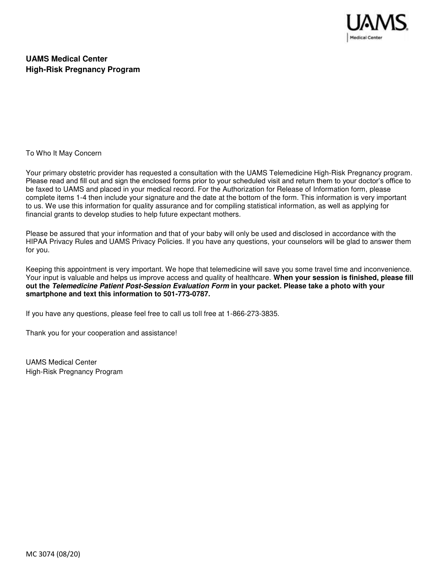

# **UAMS Medical Center High-Risk Pregnancy Program**

To Who It May Concern

Your primary obstetric provider has requested a consultation with the UAMS Telemedicine High-Risk Pregnancy program. Please read and fill out and sign the enclosed forms prior to your scheduled visit and return them to your doctor's office to be faxed to UAMS and placed in your medical record. For the Authorization for Release of Information form, please complete items 1-4 then include your signature and the date at the bottom of the form. This information is very important to us. We use this information for quality assurance and for compiling statistical information, as well as applying for financial grants to develop studies to help future expectant mothers.

Please be assured that your information and that of your baby will only be used and disclosed in accordance with the HIPAA Privacy Rules and UAMS Privacy Policies. If you have any questions, your counselors will be glad to answer them for you.

Keeping this appointment is very important. We hope that telemedicine will save you some travel time and inconvenience. Your input is valuable and helps us improve access and quality of healthcare. **When your session is finished, please fill out the Telemedicine Patient Post-Session Evaluation Form in your packet. Please take a photo with your smartphone and text this information to 501-773-0787.** 

If you have any questions, please feel free to call us toll free at 1-866-273-3835.

Thank you for your cooperation and assistance!

UAMS Medical Center High-Risk Pregnancy Program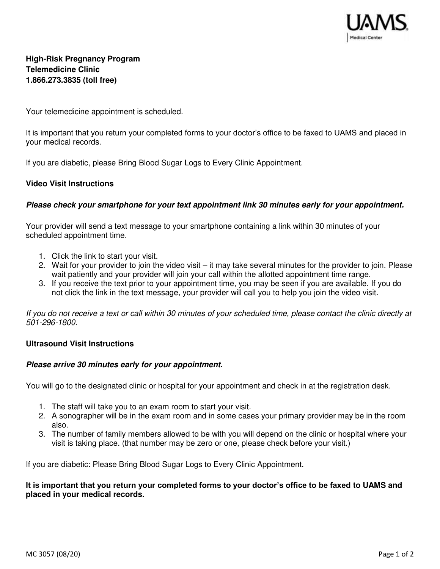

# **High-Risk Pregnancy Program Telemedicine Clinic 1.866.273.3835 (toll free)**

Your telemedicine appointment is scheduled.

It is important that you return your completed forms to your doctor's office to be faxed to UAMS and placed in your medical records.

If you are diabetic, please Bring Blood Sugar Logs to Every Clinic Appointment.

#### **Video Visit Instructions**

#### **Please check your smartphone for your text appointment link 30 minutes early for your appointment.**

Your provider will send a text message to your smartphone containing a link within 30 minutes of your scheduled appointment time.

- 1. Click the link to start your visit.
- 2. Wait for your provider to join the video visit it may take several minutes for the provider to join. Please wait patiently and your provider will join your call within the allotted appointment time range.
- 3. If you receive the text prior to your appointment time, you may be seen if you are available. If you do not click the link in the text message, your provider will call you to help you join the video visit.

If you do not receive a text or call within 30 minutes of your scheduled time, please contact the clinic directly at *501-296-1800.* 

#### **Ultrasound Visit Instructions**

#### **Please arrive 30 minutes early for your appointment.**

You will go to the designated clinic or hospital for your appointment and check in at the registration desk.

- 1. The staff will take you to an exam room to start your visit.
- 2. A sonographer will be in the exam room and in some cases your primary provider may be in the room also.
- 3. The number of family members allowed to be with you will depend on the clinic or hospital where your visit is taking place. (that number may be zero or one, please check before your visit.)

If you are diabetic: Please Bring Blood Sugar Logs to Every Clinic Appointment.

#### **It is important that you return your completed forms to your doctor's office to be faxed to UAMS and placed in your medical records.**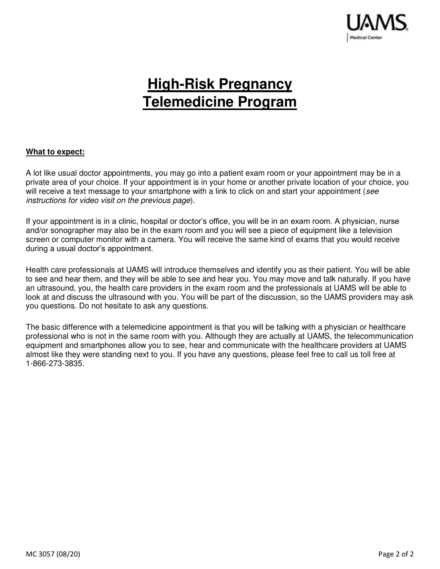

# **High-Risk Pregnancy Telemedicine Program**

#### **What to expect:**

A lot like usual doctor appointments, you may go into a patient exam room or your appointment may be in a private area of your choice. If your appointment is in your home or another private location of your choice, you will receive a text message to your smartphone with a link to click on and start your appointment (*see instructions for video visit on the previous page*).

If your appointment is in a clinic, hospital or doctor's office, you will be in an exam room. A physician, nurse and/or sonographer may also be in the exam room and you will see a piece of equipment like a television screen or computer monitor with a camera. You will receive the same kind of exams that you would receive during a usual doctor's appointment.

Health care professionals at UAMS will introduce themselves and identify you as their patient. You will be able to see and hear them, and they will be able to see and hear you. You may move and talk naturally. If you have an ultrasound, you, the health care providers in the exam room and the professionals at UAMS will be able to look at and discuss the ultrasound with you. You will be part of the discussion, so the UAMS providers may ask you questions. Do not hesitate to ask any questions.

The basic difference with a telemedicine appointment is that you will be talking with a physician or healthcare professional who is not in the same room with you. Although they are actually at UAMS, the telecommunication equipment and smartphones allow you to see, hear and communicate with the healthcare providers at UAMS almost like they were standing next to you. If you have any questions, please feel free to call us toll free at 1-866-273-3835.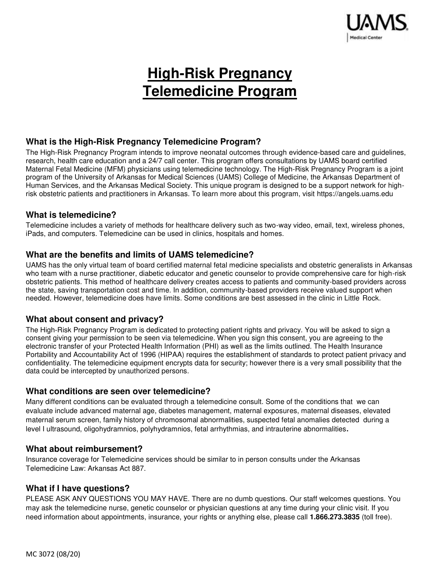

# **High-Risk Pregnancy Telemedicine Program**

# **What is the High-Risk Pregnancy Telemedicine Program?**

The High-Risk Pregnancy Program intends to improve neonatal outcomes through evidence-based care and guidelines, research, health care education and a 24/7 call center. This program offers consultations by UAMS board certified Maternal Fetal Medicine (MFM) physicians using telemedicine technology. The High-Risk Pregnancy Program is a joint program of the University of Arkansas for Medical Sciences (UAMS) College of Medicine, the Arkansas Department of Human Services, and the Arkansas Medical Society. This unique program is designed to be a support network for highrisk obstetric patients and practitioners in Arkansas. To learn more about this program, visit [https://angels.uams.edu](https://angels.uams.edu/) 

# **What is telemedicine?**

Telemedicine includes a variety of methods for healthcare delivery such as two-way video, email, text, wireless phones, iPads, and computers. Telemedicine can be used in clinics, hospitals and homes.

# **What are the benefits and limits of UAMS telemedicine?**

UAMS has the only virtual team of board certified maternal fetal medicine specialists and obstetric generalists in Arkansas who team with a nurse practitioner, diabetic educator and genetic counselor to provide comprehensive care for high-risk obstetric patients. This method of healthcare delivery creates access to patients and community-based providers across the state, saving transportation cost and time. In addition, community-based providers receive valued support when needed. However, telemedicine does have limits. Some conditions are best assessed in the clinic in Little Rock.

# **What about consent and privacy?**

The High-Risk Pregnancy Program is dedicated to protecting patient rights and privacy. You will be asked to sign a consent giving your permission to be seen via telemedicine. When you sign this consent, you are agreeing to the electronic transfer of your Protected Health Information (PHI) as well as the limits outlined. The Health Insurance Portability and Accountability Act of 1996 (HIPAA) requires the establishment of standards to protect patient privacy and confidentiality. The telemedicine equipment encrypts data for security; however there is a very small possibility that the data could be intercepted by unauthorized persons.

## **What conditions are seen over telemedicine?**

Many different conditions can be evaluated through a telemedicine consult. Some of the conditions that we can evaluate include advanced maternal age, diabetes management, maternal exposures, maternal diseases, elevated maternal serum screen, family history of chromosomal abnormalities, suspected fetal anomalies detected during a level I ultrasound, oligohydramnios, polyhydramnios, fetal arrhythmias, and intrauterine abnormalities**.** 

## **What about reimbursement?**

Insurance coverage for Telemedicine services should be similar to in person consults under the Arkansas Telemedicine Law: Arkansas Act 887.

## **What if I have questions?**

PLEASE ASK ANY QUESTIONS YOU MAY HAVE. There are no dumb questions. Our staff welcomes questions. You may ask the telemedicine nurse, genetic counselor or physician questions at any time during your clinic visit. If you need information about appointments, insurance, your rights or anything else, please call **1.866.273.3835** (toll free).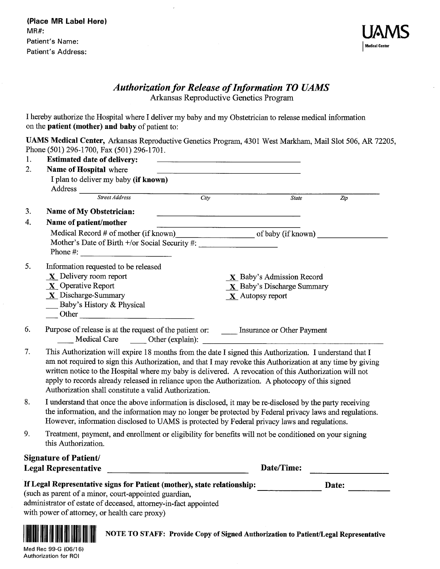

# **Authorization for Release of Information TO UAMS** Arkansas Reproductive Genetics Program

I hereby authorize the Hospital where I deliver my baby and my Obstetrician to release medical information on the patient (mother) and baby of patient to:

 $\overline{1}$ 

UAMS Medical Center, Arkansas Reproductive Genetics Program, 4301 West Markham, Mail Slot 506, AR 72205, Phone (501) 296-1700, Fax (501) 296-1701.

| 1.               | <b>Estimated date of delivery:</b>                                                                                                                                                                                                                                                                                                                                                                                                                                                           |                            |                                                                                                                  |  |
|------------------|----------------------------------------------------------------------------------------------------------------------------------------------------------------------------------------------------------------------------------------------------------------------------------------------------------------------------------------------------------------------------------------------------------------------------------------------------------------------------------------------|----------------------------|------------------------------------------------------------------------------------------------------------------|--|
| 2.               | Name of Hospital where                                                                                                                                                                                                                                                                                                                                                                                                                                                                       |                            |                                                                                                                  |  |
|                  | I plan to deliver my baby (if known)<br>Address                                                                                                                                                                                                                                                                                                                                                                                                                                              |                            |                                                                                                                  |  |
|                  | Street Address                                                                                                                                                                                                                                                                                                                                                                                                                                                                               | $\overline{City}$          | $\overline{Zip}$<br><b>State</b>                                                                                 |  |
| 3.               | Name of My Obstetrician:                                                                                                                                                                                                                                                                                                                                                                                                                                                                     |                            |                                                                                                                  |  |
| $\overline{4}$ . | Name of patient/mother                                                                                                                                                                                                                                                                                                                                                                                                                                                                       |                            |                                                                                                                  |  |
|                  | Medical Record # of mother (if known)<br>Mother's Date of Birth +/or Social Security #:<br>Phone #: $\qquad \qquad$                                                                                                                                                                                                                                                                                                                                                                          |                            |                                                                                                                  |  |
| 5.               | Information requested to be released                                                                                                                                                                                                                                                                                                                                                                                                                                                         |                            |                                                                                                                  |  |
|                  | $X$ Delivery room report                                                                                                                                                                                                                                                                                                                                                                                                                                                                     |                            | $\mathbf{X}$ Baby's Admission Record                                                                             |  |
|                  | $X$ Operative Report                                                                                                                                                                                                                                                                                                                                                                                                                                                                         | X Baby's Discharge Summary |                                                                                                                  |  |
|                  | $X$ Discharge-Summary                                                                                                                                                                                                                                                                                                                                                                                                                                                                        | $X$ Autopsy report         |                                                                                                                  |  |
|                  | Baby's History & Physical<br>Other                                                                                                                                                                                                                                                                                                                                                                                                                                                           |                            |                                                                                                                  |  |
| 6.               | Purpose of release is at the request of the patient or: _______ Insurance or Other Payment<br>Medical Care Other (explain):                                                                                                                                                                                                                                                                                                                                                                  |                            | and the control of the control of the control of the control of the control of the control of the control of the |  |
| 7.               | This Authorization will expire 18 months from the date I signed this Authorization. I understand that I<br>am not required to sign this Authorization, and that I may revoke this Authorization at any time by giving<br>written notice to the Hospital where my baby is delivered. A revocation of this Authorization will not<br>apply to records already released in reliance upon the Authorization. A photocopy of this signed<br>Authorization shall constitute a valid Authorization. |                            |                                                                                                                  |  |
| 8.               | I understand that once the above information is disclosed, it may be re-disclosed by the party receiving<br>the information, and the information may no longer be protected by Federal privacy laws and regulations.<br>However, information disclosed to UAMS is protected by Federal privacy laws and regulations.                                                                                                                                                                         |                            |                                                                                                                  |  |
| 9.               | Treatment, payment, and enrollment or eligibility for benefits will not be conditioned on your signing<br>this Authorization.                                                                                                                                                                                                                                                                                                                                                                |                            |                                                                                                                  |  |
|                  | <b>Signature of Patient/</b>                                                                                                                                                                                                                                                                                                                                                                                                                                                                 |                            |                                                                                                                  |  |
|                  | <b>Legal Representative</b>                                                                                                                                                                                                                                                                                                                                                                                                                                                                  |                            | Date/Time:                                                                                                       |  |
|                  | If Legal Representative signs for Patient (mother), state relationship:                                                                                                                                                                                                                                                                                                                                                                                                                      |                            | Date:                                                                                                            |  |
|                  | (such as parent of a minor, court-appointed guardian,                                                                                                                                                                                                                                                                                                                                                                                                                                        |                            |                                                                                                                  |  |
|                  | administrator of estate of deceased, attorney-in-fact appointed                                                                                                                                                                                                                                                                                                                                                                                                                              |                            |                                                                                                                  |  |
|                  | with power of attorney, or health care proxy)                                                                                                                                                                                                                                                                                                                                                                                                                                                |                            |                                                                                                                  |  |



NOTE TO STAFF: Provide Copy of Signed Authorization to Patient/Legal Representative

Med Rec 99-G (06/16) Authorization for ROI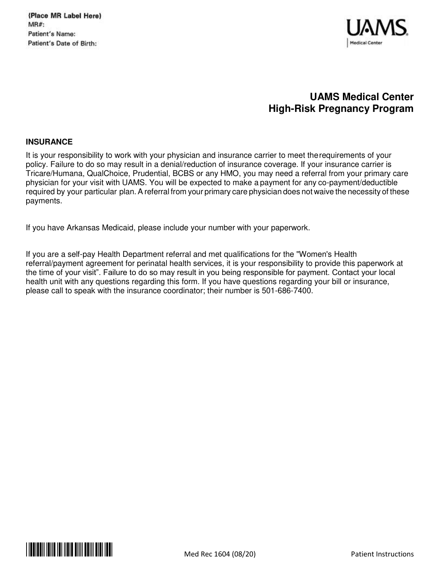(Place MR Label Here) **MR#:** Patient's Name: Patient's Date of Birth:



# **UAMS Medical Center High-Risk Pregnancy Program**

#### **INSURANCE**

It is your responsibility to work with your physician and insurance carrier to meet the requirements of your policy. Failure to do so may result in a denial/reduction of insurance coverage. If your insurance carrier is Tricare/Humana, QualChoice, Prudential, BCBS or any HMO, you may need a referral from your primary care physician for your visit with UAMS. You will be expected to make a payment for any co-payment/deductible required by your particular plan. A referral from your primary care physician does not waive the necessity of these payments.

If you have Arkansas Medicaid, please include your number with your paperwork.

If you are a self-pay Health Department referral and met qualifications for the "Women's Health referral/payment agreement for perinatal health services, it is your responsibility to provide this paperwork at the time of your visit". Failure to do so may result in you being responsible for payment. Contact your local health unit with any questions regarding this form. If you have questions regarding your bill or insurance, please call to speak with the insurance coordinator; their number is 501-686-7400.

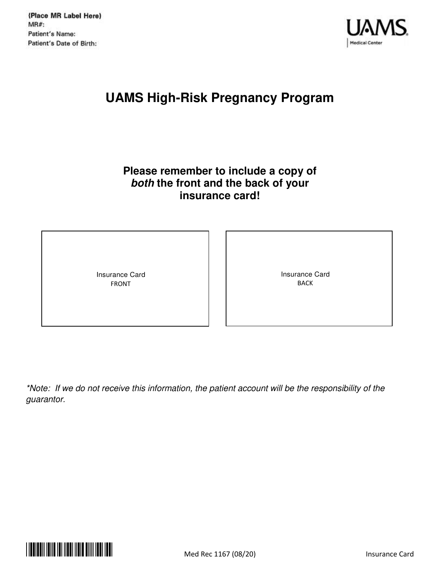

# **UAMS High-Risk Pregnancy Program**

# **Please remember to include a copy of both the front and the back of your insurance card!**

Insurance Card FRONT

Insurance Card BACK

*\*Note: If we do not receive this information, the patient account will be the responsibility of the guarantor.* 

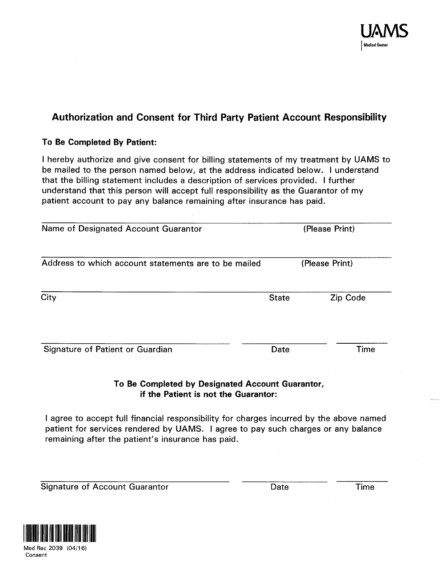

# Authorization and Consent for Third Party Patient Account Responsibility

# To Be Completed By Patient:

I hereby authorize and give consent for billing statements of my treatment by UAMS to be mailed to the person named below, at the address indicated below. I understand that the billing statement includes a description of services provided. I further understand that this person will accept full responsibility as the Guarantor of my patient account to pay any balance remaining after insurance has paid.

| Name of Designated Account Guarantor                 |              | (Please Print) |  |  |
|------------------------------------------------------|--------------|----------------|--|--|
| Address to which account statements are to be mailed |              | (Please Print) |  |  |
| City                                                 | <b>State</b> | Zip Code       |  |  |
| Signature of Patient or Guardian                     | Date         | Time           |  |  |

# To Be Completed by Designated Account Guarantor, if the Patient is not the Guarantor:

I agree to accept full financial responsibility for charges incurred by the above named patient for services rendered by UAMS. I agree to pay such charges or any balance remaining after the patient's insurance has paid.

**Signature of Account Guarantor** 

Date

Time

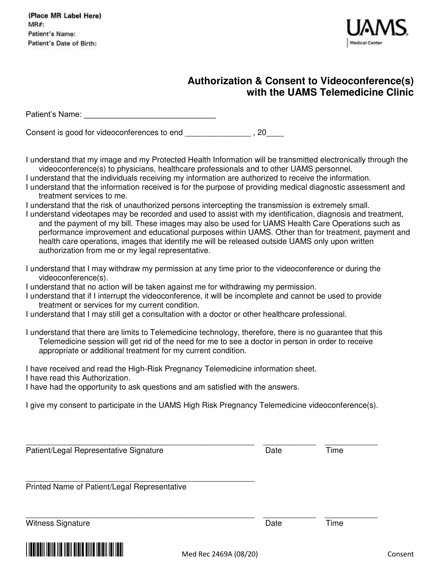

# **Authorization & Consent to Videoconference(s) with the UAMS Telemedicine Clinic**

| Patient's Name: The Contract of the Contract of the Contract of the Contract of the Contract of the Contract o                                                                                                                                                                                                                                                                                                                                                                                                                                                                                                                                                                                                                                                                                                                                                                                                                                                                                                                                            |      |      |
|-----------------------------------------------------------------------------------------------------------------------------------------------------------------------------------------------------------------------------------------------------------------------------------------------------------------------------------------------------------------------------------------------------------------------------------------------------------------------------------------------------------------------------------------------------------------------------------------------------------------------------------------------------------------------------------------------------------------------------------------------------------------------------------------------------------------------------------------------------------------------------------------------------------------------------------------------------------------------------------------------------------------------------------------------------------|------|------|
|                                                                                                                                                                                                                                                                                                                                                                                                                                                                                                                                                                                                                                                                                                                                                                                                                                                                                                                                                                                                                                                           |      |      |
| I understand that my image and my Protected Health Information will be transmitted electronically through the<br>videoconference(s) to physicians, healthcare professionals and to other UAMS personnel.<br>I understand that the individuals receiving my information are authorized to receive the information.<br>I understand that the information received is for the purpose of providing medical diagnostic assessment and<br>treatment services to me.<br>I understand that the risk of unauthorized persons intercepting the transmission is extremely small.<br>I understand videotapes may be recorded and used to assist with my identification, diagnosis and treatment,<br>and the payment of my bill. These images may also be used for UAMS Health Care Operations such as<br>performance improvement and educational purposes within UAMS. Other than for treatment, payment and<br>health care operations, images that identify me will be released outside UAMS only upon written<br>authorization from me or my legal representative. |      |      |
| I understand that I may withdraw my permission at any time prior to the videoconference or during the<br>videoconference(s).<br>I understand that no action will be taken against me for withdrawing my permission.<br>I understand that if I interrupt the videoconference, it will be incomplete and cannot be used to provide<br>treatment or services for my current condition.<br>I understand that I may still get a consultation with a doctor or other healthcare professional.                                                                                                                                                                                                                                                                                                                                                                                                                                                                                                                                                                   |      |      |
| I understand that there are limits to Telemedicine technology, therefore, there is no guarantee that this<br>Telemedicine session will get rid of the need for me to see a doctor in person in order to receive<br>appropriate or additional treatment for my current condition.                                                                                                                                                                                                                                                                                                                                                                                                                                                                                                                                                                                                                                                                                                                                                                          |      |      |
| I have received and read the High-Risk Pregnancy Telemedicine information sheet.<br>I have read this Authorization.<br>I have had the opportunity to ask questions and am satisfied with the answers.                                                                                                                                                                                                                                                                                                                                                                                                                                                                                                                                                                                                                                                                                                                                                                                                                                                     |      |      |
| I give my consent to participate in the UAMS High Risk Pregnancy Telemedicine videoconference(s).                                                                                                                                                                                                                                                                                                                                                                                                                                                                                                                                                                                                                                                                                                                                                                                                                                                                                                                                                         |      |      |
| Patient/Legal Representative Signature                                                                                                                                                                                                                                                                                                                                                                                                                                                                                                                                                                                                                                                                                                                                                                                                                                                                                                                                                                                                                    | Date | Time |
| Printed Name of Patient/Legal Representative                                                                                                                                                                                                                                                                                                                                                                                                                                                                                                                                                                                                                                                                                                                                                                                                                                                                                                                                                                                                              |      |      |
| <b>Witness Signature</b>                                                                                                                                                                                                                                                                                                                                                                                                                                                                                                                                                                                                                                                                                                                                                                                                                                                                                                                                                                                                                                  | Date | Time |
|                                                                                                                                                                                                                                                                                                                                                                                                                                                                                                                                                                                                                                                                                                                                                                                                                                                                                                                                                                                                                                                           |      |      |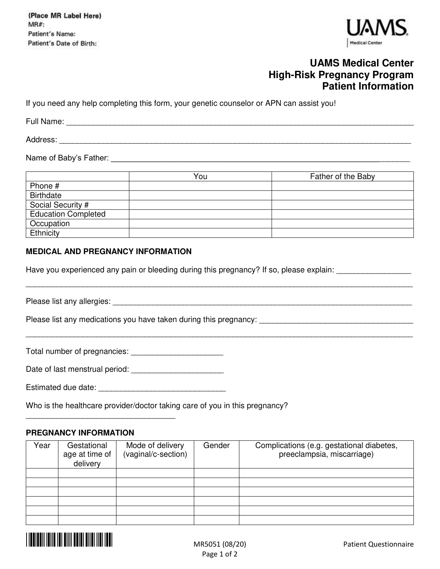(Place MR Label Here) MR#: Patient's Name: Patient's Date of Birth:



# **UAMS Medical Center High-Risk Pregnancy Program Patient Information**

If you need any help completing this form, your genetic counselor or APN can assist you!

Full Name: \_\_\_\_\_\_\_\_\_\_\_\_\_\_\_\_\_\_\_\_\_\_\_\_\_\_\_\_\_\_\_\_\_\_\_\_\_\_\_\_\_\_\_\_\_\_\_\_\_\_\_\_\_\_\_\_\_\_\_\_\_\_\_\_\_\_\_\_\_\_\_\_\_\_\_\_\_\_\_

Address:

Name of Baby's Father: **We are all that the set of the set of the set of the set of the set of the set of the set of the set of the set of the set of the set of the set of the set of the set of the set of the set of the se** 

|                            | You | Father of the Baby |
|----------------------------|-----|--------------------|
| Phone #                    |     |                    |
| <b>Birthdate</b>           |     |                    |
| Social Security #          |     |                    |
| <b>Education Completed</b> |     |                    |
| Occupation                 |     |                    |
| Ethnicity                  |     |                    |

\_\_\_\_\_\_\_\_\_\_\_\_\_\_\_\_\_\_\_\_\_\_\_\_\_\_\_\_\_\_\_\_\_\_\_\_\_\_\_\_\_\_\_\_\_\_\_\_\_\_\_\_\_\_\_\_\_\_\_\_\_\_\_\_\_\_\_\_\_\_\_\_\_\_\_\_\_\_\_\_\_\_\_\_\_\_\_\_

\_\_\_\_\_\_\_\_\_\_\_\_\_\_\_\_\_\_\_\_\_\_\_\_\_\_\_\_\_\_\_\_\_\_\_\_\_\_\_\_\_\_\_\_\_\_\_\_\_\_\_\_\_\_\_\_\_\_\_\_\_\_\_\_\_\_\_\_\_\_\_\_\_\_\_\_\_\_\_\_\_\_\_\_\_\_\_\_

#### **MEDICAL AND PREGNANCY INFORMATION**

Have you experienced any pain or bleeding during this pregnancy? If so, please explain:

Please list any allergies:  $\Box$ 

Please list any medications you have taken during this pregnancy: \_\_\_\_\_\_\_\_\_\_\_\_\_\_\_\_\_\_\_\_\_\_\_\_\_\_\_\_\_\_\_\_\_\_\_

Total number of pregnancies: \_\_\_\_\_\_\_\_\_\_\_\_\_\_\_\_\_\_\_\_\_

Date of last menstrual period:

Estimated due date:  $\blacksquare$ 

Who is the healthcare provider/doctor taking care of you in this pregnancy?

## **PREGNANCY INFORMATION**

\_\_\_\_\_\_\_\_\_\_\_\_\_\_\_\_\_\_\_\_\_\_\_\_\_\_\_\_\_\_\_\_\_\_

| Year | Gestational<br>age at time of<br>delivery | Mode of delivery<br>(vaginal/c-section) | Gender | Complications (e.g. gestational diabetes,<br>preeclampsia, miscarriage) |
|------|-------------------------------------------|-----------------------------------------|--------|-------------------------------------------------------------------------|
|      |                                           |                                         |        |                                                                         |
|      |                                           |                                         |        |                                                                         |
|      |                                           |                                         |        |                                                                         |
|      |                                           |                                         |        |                                                                         |
|      |                                           |                                         |        |                                                                         |
|      |                                           |                                         |        |                                                                         |